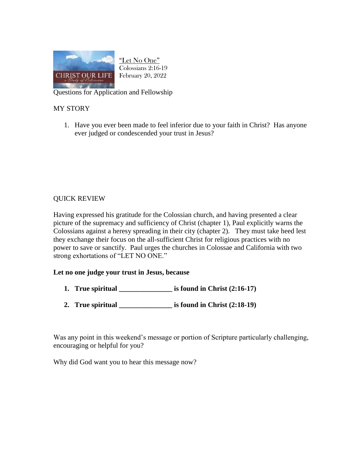

"Let No One" Colossians 2:16-19 February 20, 2022

Questions for Application and Fellowship

## MY STORY

1. Have you ever been made to feel inferior due to your faith in Christ? Has anyone ever judged or condescended your trust in Jesus?

## QUICK REVIEW

Having expressed his gratitude for the Colossian church, and having presented a clear picture of the supremacy and sufficiency of Christ (chapter 1), Paul explicitly warns the Colossians against a heresy spreading in their city (chapter 2). They must take heed lest they exchange their focus on the all-sufficient Christ for religious practices with no power to save or sanctify. Paul urges the churches in Colossae and California with two strong exhortations of "LET NO ONE."

## **Let no one judge your trust in Jesus, because**

- **1. True spiritual \_\_\_\_\_\_\_\_\_\_\_\_\_\_\_ is found in Christ (2:16-17)**
- **2. True spiritual \_\_\_\_\_\_\_\_\_\_\_\_\_\_\_ is found in Christ (2:18-19)**

Was any point in this weekend's message or portion of Scripture particularly challenging, encouraging or helpful for you?

Why did God want you to hear this message now?